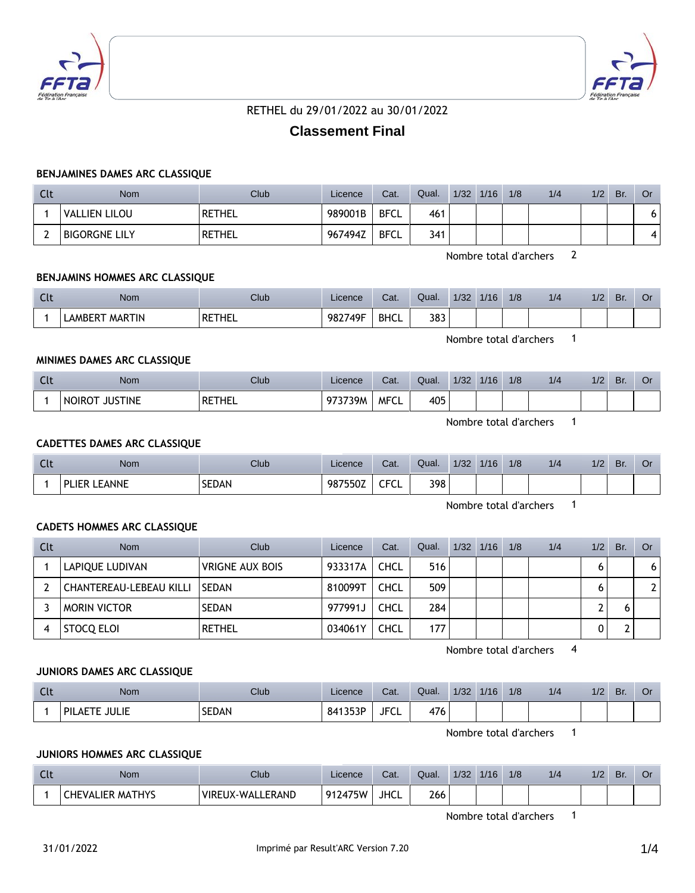



# RETHEL du 29/01/2022 au 30/01/2022

# **Classement Final**

## **BENJAMINES DAMES ARC CLASSIQUE**

| Clt | <b>Nom</b>           | Club   | Licence | Cat.        | Qual. | 1/32 | 1/16 | 1/8 | 1/4 | 1/2 | Br. | . Or |
|-----|----------------------|--------|---------|-------------|-------|------|------|-----|-----|-----|-----|------|
|     | VALLIEN LILOU        | RETHEL | 989001B | <b>BFCL</b> | 461   |      |      |     |     |     |     |      |
|     | <b>BIGORGNE LILY</b> | RETHEL | 967494Z | <b>BFCL</b> | 341   |      |      |     |     |     |     | 4    |

Nombre total d'archers 2

## **BENJAMINS HOMMES ARC CLASSIQUE**

| $\sim$<br><b>LL</b> | Nom                      | Club   | Licence | Cat.        | Qual. | 1/32 | 1/16 | 1/8 | 1/4 | /2 | Br. | Or |
|---------------------|--------------------------|--------|---------|-------------|-------|------|------|-----|-----|----|-----|----|
|                     | <b>MARTIN</b><br>LAMBERT | RETHEL | 982749F | <b>BHCL</b> | 383   |      |      |     |     |    |     |    |

Nombre total d'archers 1

## **MINIMES DAMES ARC CLASSIQUE**

| <b>Clt</b> | Nom                             | <b>Club</b> | Licence | Cat.        | Qual. | 1/32 | 1/16 | 1/8 | 1/4 | 1/2 | Br. | O٢ |
|------------|---------------------------------|-------------|---------|-------------|-------|------|------|-----|-----|-----|-----|----|
|            | <b>JUSTINE</b><br><b>NOIROT</b> | RETHEL      | 973739M | <b>MFCL</b> | 405   |      |      |     |     |     |     |    |

Nombre total d'archers 1

# **CADETTES DAMES ARC CLASSIQUE**

| $\sim$<br>ิเเ | Nom                                          | Club         | Licence | Cat.           | Qual. | 1/32 | 1/16 | 1/8 | 1/4 | 1/2 | Br. | UI |
|---------------|----------------------------------------------|--------------|---------|----------------|-------|------|------|-----|-----|-----|-----|----|
|               | <b>FANNF</b><br><b>PLIER</b><br><b>_____</b> | <b>SEDAN</b> | 987550Z | CECI<br>ີ<br>◡ | 398   |      |      |     |     |     |     |    |

Nombre total d'archers 1

## **CADETS HOMMES ARC CLASSIQUE**

| Clt | <b>Nom</b>              | Club                   | Licence | Cat.        | Qual. | 1/32 | 1/16 | 1/8 | 1/4 | 1/2 | Br. | Or . |
|-----|-------------------------|------------------------|---------|-------------|-------|------|------|-----|-----|-----|-----|------|
|     | LAPIQUE LUDIVAN         | <b>VRIGNE AUX BOIS</b> | 933317A | CHCL        | 516   |      |      |     |     |     |     | 6    |
|     | CHANTEREAU-LEBEAU KILLI | <b>SEDAN</b>           | 810099T | <b>CHCL</b> | 509   |      |      |     |     |     |     | ◠    |
|     | <b>MORIN VICTOR</b>     | <b>SEDAN</b>           | 977991J | <b>CHCL</b> | 284   |      |      |     |     |     |     |      |
|     | STOCO ELOI              | <b>RETHEL</b>          | 034061Y | <b>CHCL</b> | 177   |      |      |     |     |     |     |      |

Nombre total d'archers 4

#### **JUNIORS DAMES ARC CLASSIQUE**

| Clt | Nom <sup>®</sup>               | Club         | Licence | Cat.        | Qual. | 1/32 | 1/16 | 1/8 | 1/4 | 1/2 | Br. | O۱ |
|-----|--------------------------------|--------------|---------|-------------|-------|------|------|-----|-----|-----|-----|----|
|     | <b>JULIE</b><br><b>PILAETE</b> | <b>SEDAN</b> | 841353P | <b>JFCL</b> | 476   |      |      |     |     |     |     |    |

Nombre total d'archers 1

## **JUNIORS HOMMES ARC CLASSIQUE**

| <u>uu</u> | Nom                     | Club                   | Licence | Cat.        | Qual. | 1/32 | 1/16 | 1/8 | 1/4 | 1/2 | Br. | U. |
|-----------|-------------------------|------------------------|---------|-------------|-------|------|------|-----|-----|-----|-----|----|
|           | <b>CHEVALIER MATHYS</b> | EUX-WALLERAND<br>VIRE. | 912475W | <b>JHCL</b> | 266   |      |      |     |     |     |     |    |

Nombre total d'archers 1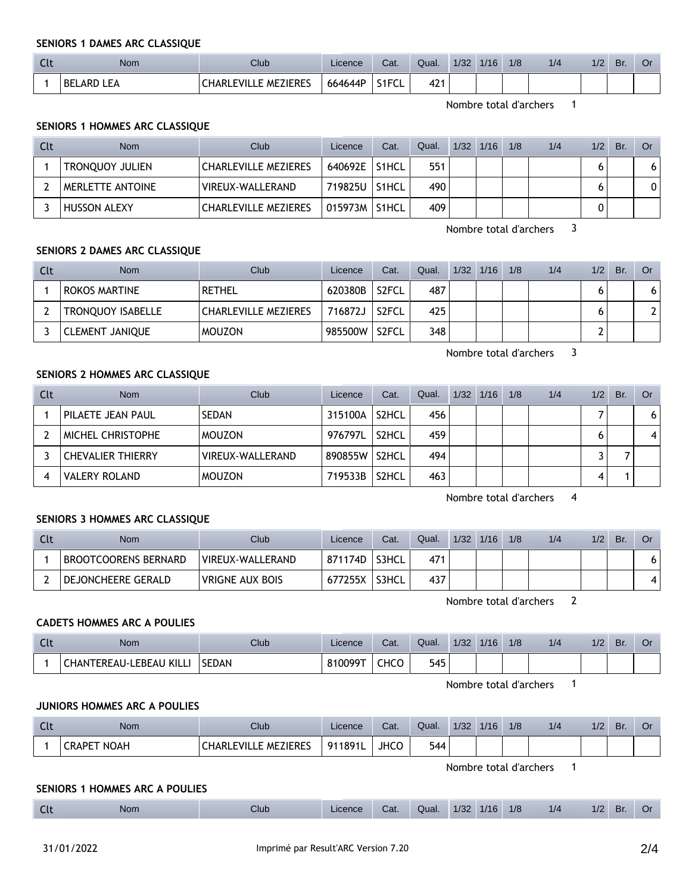**SENIORS 1 DAMES ARC CLASSIQUE**

| uu | Nom                        | Club                        | Licence | Cat.  | Qual.        | 1/32 | 1/16 | 1/8 | 1/4 | 1/2 | Br. |  |
|----|----------------------------|-----------------------------|---------|-------|--------------|------|------|-----|-----|-----|-----|--|
|    | FΔ<br>' BEL.<br><b>ARD</b> | <b>CHARLEVILLE MEZIERES</b> | 664644P | S1FCL | ، ۱۵<br>44 T |      |      |     |     |     |     |  |

Nombre total d'archers 1

# **SENIORS 1 HOMMES ARC CLASSIQUE**

| Clt | <b>Nom</b>             | Club                        | Licence | Cat.               | Qual. | $1/32$ $1/16$ | 1/8 | 1/4 | 1/2 | Br. | Or |
|-----|------------------------|-----------------------------|---------|--------------------|-------|---------------|-----|-----|-----|-----|----|
|     | <b>TRONOUOY JULIEN</b> | <b>CHARLEVILLE MEZIERES</b> | 640692E | S <sub>1</sub> HCL | 551   |               |     |     |     |     | 6  |
|     | MERLETTE ANTOINE       | VIREUX-WALLERAND            | 719825U | S <sub>1</sub> HCL | 490   |               |     |     |     |     | 0  |
|     | <b>HUSSON ALEXY</b>    | <b>CHARLEVILLE MEZIERES</b> | 015973M | <b>S1HCL</b>       | 409   |               |     |     |     |     |    |

Nombre total d'archers 3

#### **SENIORS 2 DAMES ARC CLASSIQUE**

| <b>Clt</b> | <b>Nom</b>             | Club                        | Licence | Cat.               | Qual. | $1/32$ $1/16$ | 1/8 | 1/4 | 1/2 | Br. | Or             |
|------------|------------------------|-----------------------------|---------|--------------------|-------|---------------|-----|-----|-----|-----|----------------|
|            | <b>ROKOS MARTINE</b>   | <b>RETHEL</b>               | 620380B | S <sub>2</sub> FCL | 487   |               |     |     |     |     | 61             |
|            | TRONQUOY ISABELLE      | <b>CHARLEVILLE MEZIERES</b> | 716872J | S <sub>2</sub> FCL | 425   |               |     |     |     |     | 2 <sup>1</sup> |
|            | <b>CLEMENT JANIQUE</b> | <b>MOUZON</b>               | 985500W | S <sub>2</sub> FCL | 348   |               |     |     |     |     |                |

Nombre total d'archers 3

# **SENIORS 2 HOMMES ARC CLASSIQUE**

| Clt | <b>Nom</b>               | Club                    | Licence | Cat.               | Qual. | 1/32 | 1/16 | 1/8 | 1/4 | 1/2 | Br. | Or |
|-----|--------------------------|-------------------------|---------|--------------------|-------|------|------|-----|-----|-----|-----|----|
|     | PILAETE JEAN PAUL        | SEDAN                   | 315100A | S <sub>2</sub> HCL | 456   |      |      |     |     |     |     | 6  |
|     | <b>MICHEL CHRISTOPHE</b> | <b>MOUZON</b>           | 976797L | S <sub>2</sub> HCL | 459   |      |      |     |     |     |     | 4  |
|     | <b>CHEVALIER THIERRY</b> | <b>VIREUX-WALLERAND</b> | 890855W | S <sub>2</sub> HCL | 494   |      |      |     |     |     |     |    |
|     | <b>VALERY ROLAND</b>     | <b>MOUZON</b>           | 719533B | S <sub>2</sub> HCL | 463   |      |      |     |     |     |     |    |

Nombre total d'archers 4

#### **SENIORS 3 HOMMES ARC CLASSIQUE**

| <b>Nom</b>                  | Club             | Licence | Cat.         | Qual. | 1/32 | 1/16 | 1/8 | 1/4 | 1/2 | Br. |    |
|-----------------------------|------------------|---------|--------------|-------|------|------|-----|-----|-----|-----|----|
| <b>BROOTCOORENS BERNARD</b> | VIREUX-WALLERAND | 871174D | <b>S3HCL</b> | 471   |      |      |     |     |     |     | 61 |
| DEJONCHEERE GERALD          | VRIGNE AUX BOIS  | 677255X | <b>S3HCL</b> | 437   |      |      |     |     |     |     | 4  |

Nombre total d'archers 2

# **CADETS HOMMES ARC A POULIES**

| Clt | Nom                                                           | Club         | Licence | Cat. | Qual. | 1/32 | 1/16 | 1/8 | 1/4 | 1/2 | Br. | Or |
|-----|---------------------------------------------------------------|--------------|---------|------|-------|------|------|-----|-----|-----|-----|----|
|     | ' KILL.<br>LEBEAU<br><b><i><u>CHANTEREAU-L.</u></i></b><br>AL | <b>SEDAN</b> | 10099T  | CHCC | 545   |      |      |     |     |     |     |    |

Nombre total d'archers 1

# **JUNIORS HOMMES ARC A POULIES**

| . | Nom                   | Club                                         | Licence | Cat. | Qual. | 1/32 | 1/16 | 1/8 | 1/4 | $\sqrt{2}$<br>. I 4 | Br. | U |
|---|-----------------------|----------------------------------------------|---------|------|-------|------|------|-----|-----|---------------------|-----|---|
|   | <b>NOAH</b><br>CRAPET | LE MEZIERES<br><b>FVILI</b><br><b>CHARLE</b> | 911891L | JHCC | 544   |      |      |     |     |                     |     |   |

# **SENIORS 1 HOMMES ARC A POULIES**

|  | $\ddotsc$ | Nom | Club | $\angle$ icence | Cat. | Qual. | 1/32 | 1/16 | 1/8 | 1/4 | $\sqrt{2}$<br>$1/\Delta$ | Br. |  |
|--|-----------|-----|------|-----------------|------|-------|------|------|-----|-----|--------------------------|-----|--|
|--|-----------|-----|------|-----------------|------|-------|------|------|-----|-----|--------------------------|-----|--|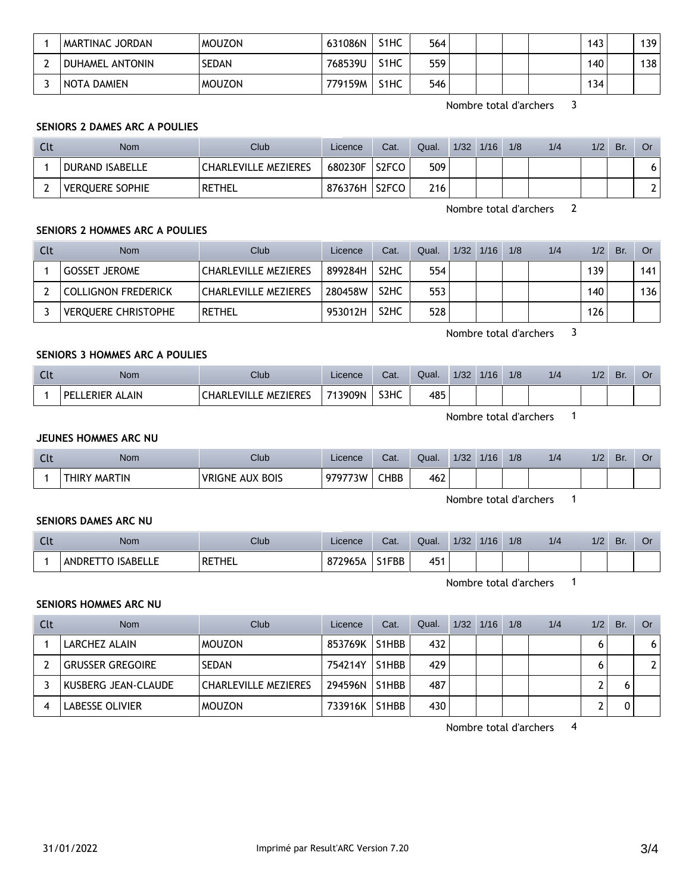| I MARTINAC JORDAN | <b>MOUZON</b> | 631086N | S1HC              | 564 |  | 143 | 39 |
|-------------------|---------------|---------|-------------------|-----|--|-----|----|
| DUHAMEL ANTONIN   | <b>SEDAN</b>  | 768539U | S <sub>1</sub> HC | 559 |  | 140 | 38 |
| NOTA DAMIEN       | <b>MOUZON</b> | 779159M | S <sub>1</sub> HC | 546 |  | 134 |    |

Nombre total d'archers 3

# **SENIORS 2 DAMES ARC A POULIES**

| Clt | <b>Nom</b>             | Club                        | Licence | Cat.  | Qual. | 1/32 | 1/16 | 1/8 | 1/4 | 1/2 | Br. | Or |
|-----|------------------------|-----------------------------|---------|-------|-------|------|------|-----|-----|-----|-----|----|
|     | <b>DURAND ISABELLE</b> | <b>CHARLEVILLE MEZIERES</b> | 680230F | S2FCO | 509   |      |      |     |     |     |     |    |
|     | VEROUERE SOPHIE        | <b>RETHEL</b>               | 876376H | S2FCO | 216   |      |      |     |     |     |     |    |

Nombre total d'archers 2

# **SENIORS 2 HOMMES ARC A POULIES**

| Clt | <b>Nom</b>                 | Club                        | Licence | Cat.              | Qual. | $1/32$ $1/16$ | 1/8 | 1/4 | 1/2 | Br. | <b>Or</b> |
|-----|----------------------------|-----------------------------|---------|-------------------|-------|---------------|-----|-----|-----|-----|-----------|
|     | <b>GOSSET JEROME</b>       | <b>CHARLEVILLE MEZIERES</b> | 899284H | S <sub>2</sub> HC | 554   |               |     |     | 139 |     | 141       |
|     | <b>COLLIGNON FREDERICK</b> | <b>CHARLEVILLE MEZIERES</b> | 280458W | S <sub>2</sub> HC | 553   |               |     |     | 140 |     | 136       |
|     | <b>VEROUERE CHRISTOPHE</b> | <b>RETHEL</b>               | 953012H | S <sub>2</sub> HC | 528   |               |     |     | 126 |     |           |

Nombre total d'archers 3

#### **SENIORS 3 HOMMES ARC A POULIES**

| Clt | Nom                                | Club                       | Licence | Cat. | Qual. | 1/32 | 1/16 | 1/8 | 1/4 | 1/2 | Br. | Оr |
|-----|------------------------------------|----------------------------|---------|------|-------|------|------|-----|-----|-----|-----|----|
|     | <b>ALAIN</b><br>ERIER<br><b>DF</b> | LE MEZIERES<br>CHARL FVIL. | 713909N | S3HC | 485   |      |      |     |     |     |     |    |

Nombre total d'archers 1

## **JEUNES HOMMES ARC NU**

| $\sim$<br>. . | Nom                           | Club                             | Licence | Cat.        | Qual. | 1/32 | 1/16 | 1/8 | 1/4 | 1/2 | Br. | Or |
|---------------|-------------------------------|----------------------------------|---------|-------------|-------|------|------|-----|-----|-----|-----|----|
|               | <b>MARTIN</b><br><b>THIRY</b> | <b>AUX BOIS</b><br><b>VRIGNE</b> | 979773W | <b>CHBB</b> | 462   |      |      |     |     |     |     |    |

Nombre total d'archers 1

#### **SENIORS DAMES ARC NU**

| $\sim$<br><b>CLL</b> | Nom                              | Club   | Licence | Cat.         | Qual. | 1/32 | 1/16 | 1/8 | 1/4 | 1/2 | Br | اك |
|----------------------|----------------------------------|--------|---------|--------------|-------|------|------|-----|-----|-----|----|----|
|                      | ANDRE <sup>-</sup><br>ີ ISABELL∟ | RETHEL | 872965A | 1FBB<br>זו כ | 451   |      |      |     |     |     |    |    |

Nombre total d'archers 1

#### **SENIORS HOMMES ARC NU**

| Clt | <b>Nom</b>              | Club                        | Licence | Cat.               | Qual. | $1/32$ $1/16$ | 1/8 | 1/4 | 1/2 | Br. | Or           |
|-----|-------------------------|-----------------------------|---------|--------------------|-------|---------------|-----|-----|-----|-----|--------------|
|     | LARCHEZ ALAIN           | <b>MOUZON</b>               | 853769K | S <sub>1</sub> HBB | 432   |               |     |     |     |     | 6            |
|     | <b>GRUSSER GREGOIRE</b> | <b>SEDAN</b>                | 754214Y | S1HBB              | 429   |               |     |     | n   |     | $\mathbf{2}$ |
|     | KUSBERG JEAN-CLAUDE     | <b>CHARLEVILLE MEZIERES</b> | 294596N | S <sub>1</sub> HBB | 487   |               |     |     |     |     |              |
|     | <b>LABESSE OLIVIER</b>  | <b>MOUZON</b>               | 733916K | S1HBB              | 430   |               |     |     |     |     |              |

Nombre total d'archers 4